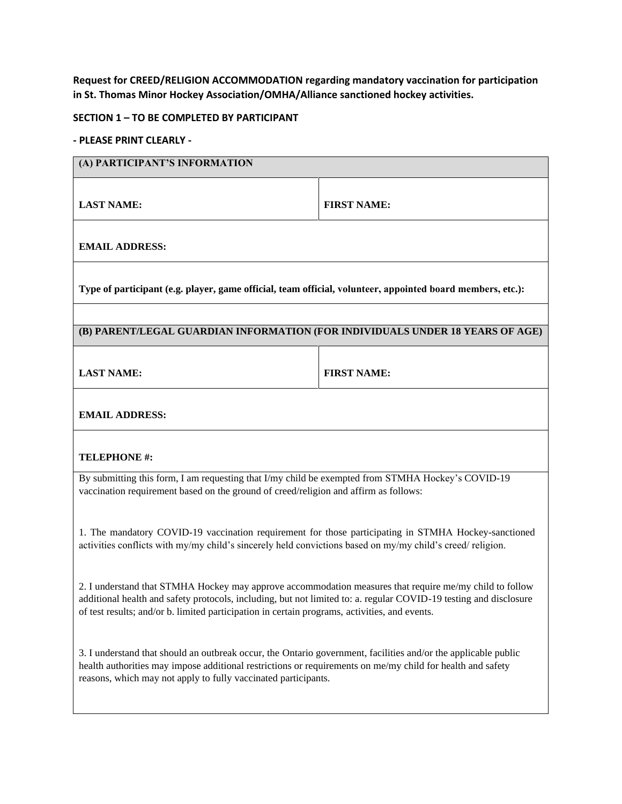**Request for CREED/RELIGION ACCOMMODATION regarding mandatory vaccination for participation in St. Thomas Minor Hockey Association/OMHA/Alliance sanctioned hockey activities.** 

## **SECTION 1 – TO BE COMPLETED BY PARTICIPANT**

## **- PLEASE PRINT CLEARLY -**

| (A) PARTICIPANT'S INFORMATION                                                                                                                                                                                                                                                                                                 |                    |  |
|-------------------------------------------------------------------------------------------------------------------------------------------------------------------------------------------------------------------------------------------------------------------------------------------------------------------------------|--------------------|--|
| <b>LAST NAME:</b>                                                                                                                                                                                                                                                                                                             | <b>FIRST NAME:</b> |  |
| <b>EMAIL ADDRESS:</b>                                                                                                                                                                                                                                                                                                         |                    |  |
| Type of participant (e.g. player, game official, team official, volunteer, appointed board members, etc.):                                                                                                                                                                                                                    |                    |  |
|                                                                                                                                                                                                                                                                                                                               |                    |  |
| (B) PARENT/LEGAL GUARDIAN INFORMATION (FOR INDIVIDUALS UNDER 18 YEARS OF AGE)                                                                                                                                                                                                                                                 |                    |  |
| <b>LAST NAME:</b>                                                                                                                                                                                                                                                                                                             | <b>FIRST NAME:</b> |  |
| <b>EMAIL ADDRESS:</b>                                                                                                                                                                                                                                                                                                         |                    |  |
| <b>TELEPHONE #:</b>                                                                                                                                                                                                                                                                                                           |                    |  |
| By submitting this form, I am requesting that I/my child be exempted from STMHA Hockey's COVID-19<br>vaccination requirement based on the ground of creed/religion and affirm as follows:                                                                                                                                     |                    |  |
| 1. The mandatory COVID-19 vaccination requirement for those participating in STMHA Hockey-sanctioned<br>activities conflicts with my/my child's sincerely held convictions based on my/my child's creed/ religion.                                                                                                            |                    |  |
| 2. I understand that STMHA Hockey may approve accommodation measures that require me/my child to follow<br>additional health and safety protocols, including, but not limited to: a. regular COVID-19 testing and disclosure<br>of test results; and/or b. limited participation in certain programs, activities, and events. |                    |  |
| 3. I understand that should an outbreak occur, the Ontario government, facilities and/or the applicable public<br>health authorities may impose additional restrictions or requirements on me/my child for health and safety<br>reasons, which may not apply to fully vaccinated participants.                                |                    |  |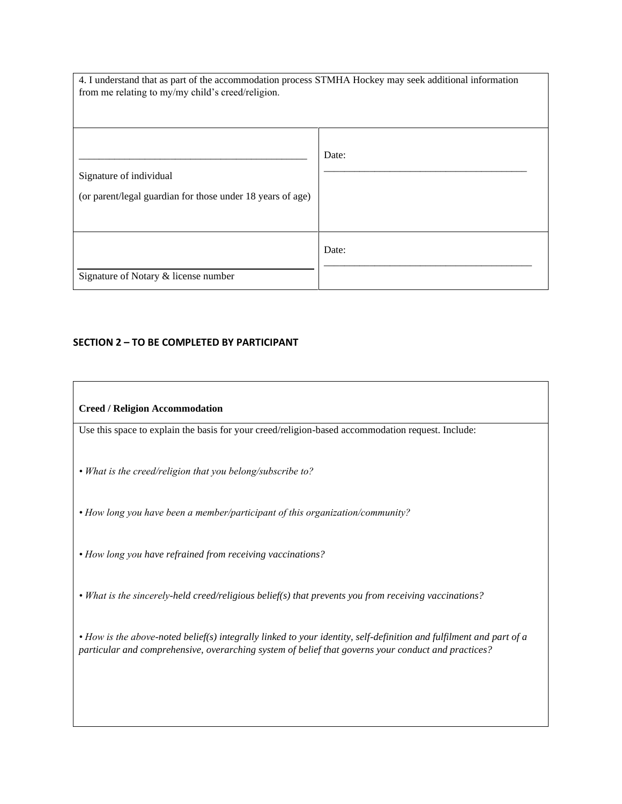| 4. I understand that as part of the accommodation process STMHA Hockey may seek additional information<br>from me relating to my/my child's creed/religion. |       |
|-------------------------------------------------------------------------------------------------------------------------------------------------------------|-------|
| Signature of individual<br>(or parent/legal guardian for those under 18 years of age)                                                                       | Date: |
| Signature of Notary & license number                                                                                                                        | Date: |

## **SECTION 2 – TO BE COMPLETED BY PARTICIPANT**

## **Creed / Religion Accommodation**

Use this space to explain the basis for your creed/religion-based accommodation request. Include:

*• What is the creed/religion that you belong/subscribe to?*

*• How long you have been a member/participant of this organization/community?*

*• How long you have refrained from receiving vaccinations?*

*• What is the sincerely-held creed/religious belief(s) that prevents you from receiving vaccinations?*

*• How is the above-noted belief(s) integrally linked to your identity, self-definition and fulfilment and part of a particular and comprehensive, overarching system of belief that governs your conduct and practices?*